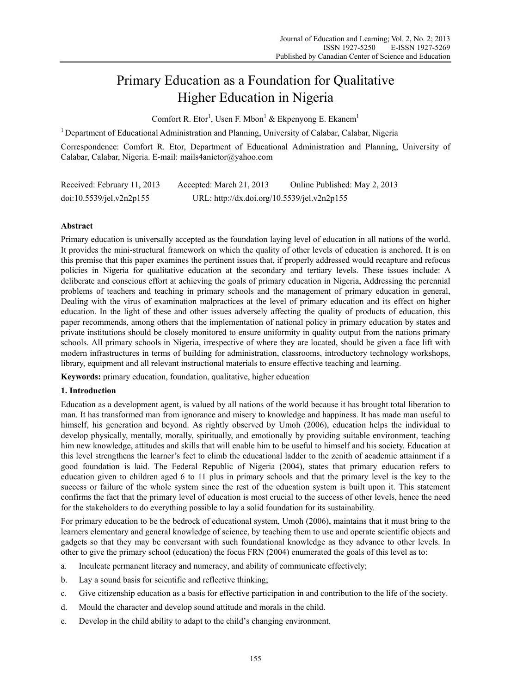# Primary Education as a Foundation for Qualitative Higher Education in Nigeria

Comfort R. Etor<sup>1</sup>, Usen F. Mbon<sup>1</sup> & Ekpenyong E. Ekanem<sup>1</sup>

<sup>1</sup> Department of Educational Administration and Planning, University of Calabar, Calabar, Nigeria

Correspondence: Comfort R. Etor, Department of Educational Administration and Planning, University of Calabar, Calabar, Nigeria. E-mail: mails4anietor@yahoo.com

| Received: February 11, 2013 | Accepted: March 21, 2013                    | Online Published: May 2, 2013 |  |  |
|-----------------------------|---------------------------------------------|-------------------------------|--|--|
| doi:10.5539/jel.v2n2p155    | URL: http://dx.doi.org/10.5539/jel.v2n2p155 |                               |  |  |

# **Abstract**

Primary education is universally accepted as the foundation laying level of education in all nations of the world. It provides the mini-structural framework on which the quality of other levels of education is anchored. It is on this premise that this paper examines the pertinent issues that, if properly addressed would recapture and refocus policies in Nigeria for qualitative education at the secondary and tertiary levels. These issues include: A deliberate and conscious effort at achieving the goals of primary education in Nigeria, Addressing the perennial problems of teachers and teaching in primary schools and the management of primary education in general, Dealing with the virus of examination malpractices at the level of primary education and its effect on higher education. In the light of these and other issues adversely affecting the quality of products of education, this paper recommends, among others that the implementation of national policy in primary education by states and private institutions should be closely monitored to ensure uniformity in quality output from the nations primary schools. All primary schools in Nigeria, irrespective of where they are located, should be given a face lift with modern infrastructures in terms of building for administration, classrooms, introductory technology workshops, library, equipment and all relevant instructional materials to ensure effective teaching and learning.

**Keywords:** primary education, foundation, qualitative, higher education

### **1. Introduction**

Education as a development agent, is valued by all nations of the world because it has brought total liberation to man. It has transformed man from ignorance and misery to knowledge and happiness. It has made man useful to himself, his generation and beyond. As rightly observed by Umoh (2006), education helps the individual to develop physically, mentally, morally, spiritually, and emotionally by providing suitable environment, teaching him new knowledge, attitudes and skills that will enable him to be useful to himself and his society. Education at this level strengthens the learner's feet to climb the educational ladder to the zenith of academic attainment if a good foundation is laid. The Federal Republic of Nigeria (2004), states that primary education refers to education given to children aged 6 to 11 plus in primary schools and that the primary level is the key to the success or failure of the whole system since the rest of the education system is built upon it. This statement confirms the fact that the primary level of education is most crucial to the success of other levels, hence the need for the stakeholders to do everything possible to lay a solid foundation for its sustainability.

For primary education to be the bedrock of educational system, Umoh (2006), maintains that it must bring to the learners elementary and general knowledge of science, by teaching them to use and operate scientific objects and gadgets so that they may be conversant with such foundational knowledge as they advance to other levels. In other to give the primary school (education) the focus FRN (2004) enumerated the goals of this level as to:

- a. Inculcate permanent literacy and numeracy, and ability of communicate effectively;
- b. Lay a sound basis for scientific and reflective thinking;
- c. Give citizenship education as a basis for effective participation in and contribution to the life of the society.
- d. Mould the character and develop sound attitude and morals in the child.
- e. Develop in the child ability to adapt to the child's changing environment.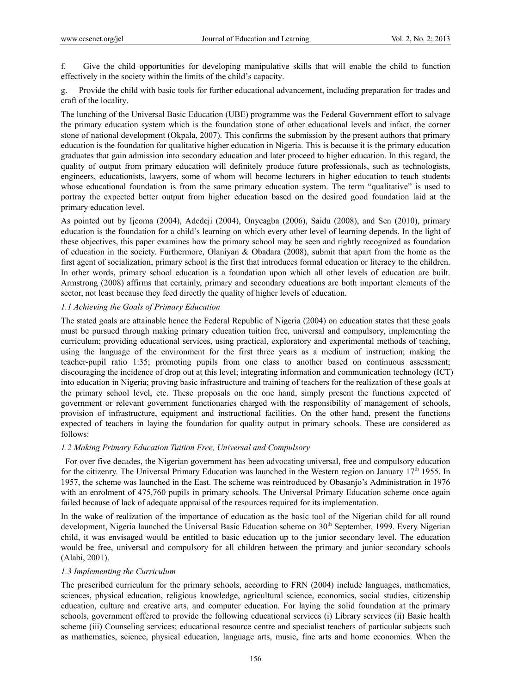f. Give the child opportunities for developing manipulative skills that will enable the child to function effectively in the society within the limits of the child's capacity.

g. Provide the child with basic tools for further educational advancement, including preparation for trades and craft of the locality.

The lunching of the Universal Basic Education (UBE) programme was the Federal Government effort to salvage the primary education system which is the foundation stone of other educational levels and infact, the corner stone of national development (Okpala, 2007). This confirms the submission by the present authors that primary education is the foundation for qualitative higher education in Nigeria. This is because it is the primary education graduates that gain admission into secondary education and later proceed to higher education. In this regard, the quality of output from primary education will definitely produce future professionals, such as technologists, engineers, educationists, lawyers, some of whom will become lecturers in higher education to teach students whose educational foundation is from the same primary education system. The term "qualitative" is used to portray the expected better output from higher education based on the desired good foundation laid at the primary education level.

As pointed out by Ijeoma (2004), Adedeji (2004), Onyeagba (2006), Saidu (2008), and Sen (2010), primary education is the foundation for a child's learning on which every other level of learning depends. In the light of these objectives, this paper examines how the primary school may be seen and rightly recognized as foundation of education in the society. Furthermore, Olaniyan & Obadara (2008), submit that apart from the home as the first agent of socialization, primary school is the first that introduces formal education or literacy to the children. In other words, primary school education is a foundation upon which all other levels of education are built. Armstrong (2008) affirms that certainly, primary and secondary educations are both important elements of the sector, not least because they feed directly the quality of higher levels of education.

# *1.1 Achieving the Goals of Primary Education*

The stated goals are attainable hence the Federal Republic of Nigeria (2004) on education states that these goals must be pursued through making primary education tuition free, universal and compulsory, implementing the curriculum; providing educational services, using practical, exploratory and experimental methods of teaching, using the language of the environment for the first three years as a medium of instruction; making the teacher-pupil ratio 1:35; promoting pupils from one class to another based on continuous assessment; discouraging the incidence of drop out at this level; integrating information and communication technology (ICT) into education in Nigeria; proving basic infrastructure and training of teachers for the realization of these goals at the primary school level, etc. These proposals on the one hand, simply present the functions expected of government or relevant government functionaries charged with the responsibility of management of schools, provision of infrastructure, equipment and instructional facilities. On the other hand, present the functions expected of teachers in laying the foundation for quality output in primary schools. These are considered as follows:

### *1.2 Making Primary Education Tuition Free, Universal and Compulsory*

 For over five decades, the Nigerian government has been advocating universal, free and compulsory education for the citizenry. The Universal Primary Education was launched in the Western region on January  $17<sup>th</sup>$  1955. In 1957, the scheme was launched in the East. The scheme was reintroduced by Obasanjo's Administration in 1976 with an enrolment of 475,760 pupils in primary schools. The Universal Primary Education scheme once again failed because of lack of adequate appraisal of the resources required for its implementation.

In the wake of realization of the importance of education as the basic tool of the Nigerian child for all round development, Nigeria launched the Universal Basic Education scheme on 30<sup>th</sup> September, 1999. Every Nigerian child, it was envisaged would be entitled to basic education up to the junior secondary level. The education would be free, universal and compulsory for all children between the primary and junior secondary schools (Alabi, 2001).

### *1.3 Implementing the Curriculum*

The prescribed curriculum for the primary schools, according to FRN (2004) include languages, mathematics, sciences, physical education, religious knowledge, agricultural science, economics, social studies, citizenship education, culture and creative arts, and computer education. For laying the solid foundation at the primary schools, government offered to provide the following educational services (i) Library services (ii) Basic health scheme (iii) Counseling services; educational resource centre and specialist teachers of particular subjects such as mathematics, science, physical education, language arts, music, fine arts and home economics. When the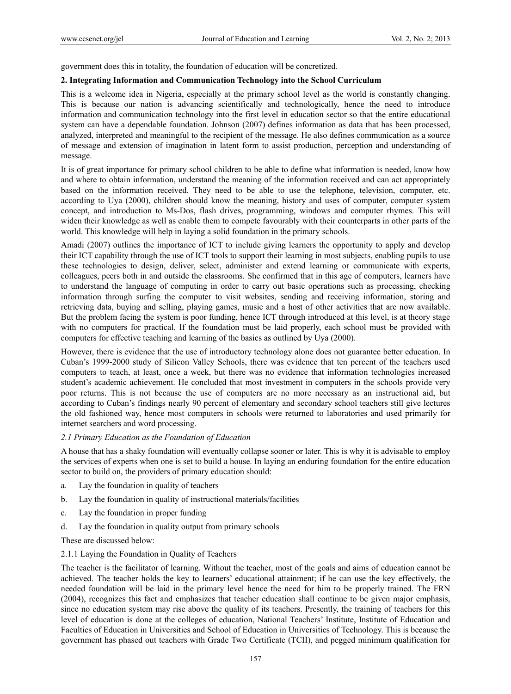government does this in totality, the foundation of education will be concretized.

# **2. Integrating Information and Communication Technology into the School Curriculum**

This is a welcome idea in Nigeria, especially at the primary school level as the world is constantly changing. This is because our nation is advancing scientifically and technologically, hence the need to introduce information and communication technology into the first level in education sector so that the entire educational system can have a dependable foundation. Johnson (2007) defines information as data that has been processed, analyzed, interpreted and meaningful to the recipient of the message. He also defines communication as a source of message and extension of imagination in latent form to assist production, perception and understanding of message.

It is of great importance for primary school children to be able to define what information is needed, know how and where to obtain information, understand the meaning of the information received and can act appropriately based on the information received. They need to be able to use the telephone, television, computer, etc. according to Uya (2000), children should know the meaning, history and uses of computer, computer system concept, and introduction to Ms-Dos, flash drives, programming, windows and computer rhymes. This will widen their knowledge as well as enable them to compete favourably with their counterparts in other parts of the world. This knowledge will help in laying a solid foundation in the primary schools.

Amadi (2007) outlines the importance of ICT to include giving learners the opportunity to apply and develop their ICT capability through the use of ICT tools to support their learning in most subjects, enabling pupils to use these technologies to design, deliver, select, administer and extend learning or communicate with experts, colleagues, peers both in and outside the classrooms. She confirmed that in this age of computers, learners have to understand the language of computing in order to carry out basic operations such as processing, checking information through surfing the computer to visit websites, sending and receiving information, storing and retrieving data, buying and selling, playing games, music and a host of other activities that are now available. But the problem facing the system is poor funding, hence ICT through introduced at this level, is at theory stage with no computers for practical. If the foundation must be laid properly, each school must be provided with computers for effective teaching and learning of the basics as outlined by Uya (2000).

However, there is evidence that the use of introductory technology alone does not guarantee better education. In Cuban's 1999-2000 study of Silicon Valley Schools, there was evidence that ten percent of the teachers used computers to teach, at least, once a week, but there was no evidence that information technologies increased student's academic achievement. He concluded that most investment in computers in the schools provide very poor returns. This is not because the use of computers are no more necessary as an instructional aid, but according to Cuban's findings nearly 90 percent of elementary and secondary school teachers still give lectures the old fashioned way, hence most computers in schools were returned to laboratories and used primarily for internet searchers and word processing.

### *2.1 Primary Education as the Foundation of Education*

A house that has a shaky foundation will eventually collapse sooner or later. This is why it is advisable to employ the services of experts when one is set to build a house. In laying an enduring foundation for the entire education sector to build on, the providers of primary education should:

- a. Lay the foundation in quality of teachers
- b. Lay the foundation in quality of instructional materials/facilities
- c. Lay the foundation in proper funding
- d. Lay the foundation in quality output from primary schools

These are discussed below:

### 2.1.1 Laying the Foundation in Quality of Teachers

The teacher is the facilitator of learning. Without the teacher, most of the goals and aims of education cannot be achieved. The teacher holds the key to learners' educational attainment; if he can use the key effectively, the needed foundation will be laid in the primary level hence the need for him to be properly trained. The FRN (2004), recognizes this fact and emphasizes that teacher education shall continue to be given major emphasis, since no education system may rise above the quality of its teachers. Presently, the training of teachers for this level of education is done at the colleges of education, National Teachers' Institute, Institute of Education and Faculties of Education in Universities and School of Education in Universities of Technology. This is because the government has phased out teachers with Grade Two Certificate (TCII), and pegged minimum qualification for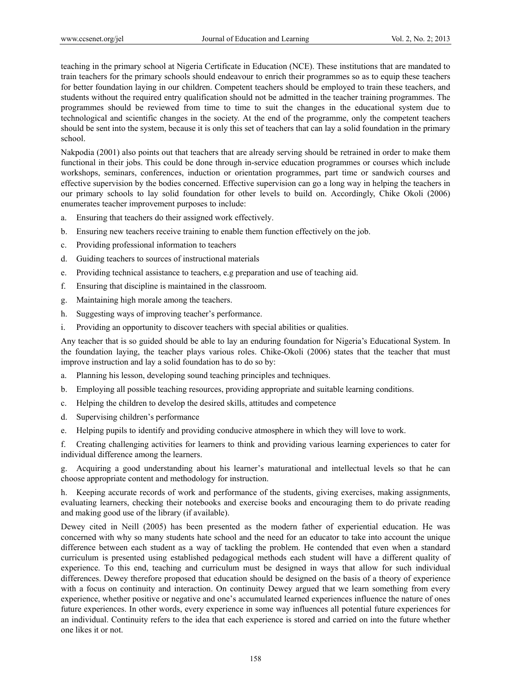teaching in the primary school at Nigeria Certificate in Education (NCE). These institutions that are mandated to train teachers for the primary schools should endeavour to enrich their programmes so as to equip these teachers for better foundation laying in our children. Competent teachers should be employed to train these teachers, and students without the required entry qualification should not be admitted in the teacher training programmes. The programmes should be reviewed from time to time to suit the changes in the educational system due to technological and scientific changes in the society. At the end of the programme, only the competent teachers should be sent into the system, because it is only this set of teachers that can lay a solid foundation in the primary school.

Nakpodia (2001) also points out that teachers that are already serving should be retrained in order to make them functional in their jobs. This could be done through in-service education programmes or courses which include workshops, seminars, conferences, induction or orientation programmes, part time or sandwich courses and effective supervision by the bodies concerned. Effective supervision can go a long way in helping the teachers in our primary schools to lay solid foundation for other levels to build on. Accordingly, Chike Okoli (2006) enumerates teacher improvement purposes to include:

- a. Ensuring that teachers do their assigned work effectively.
- b. Ensuring new teachers receive training to enable them function effectively on the job.
- c. Providing professional information to teachers
- d. Guiding teachers to sources of instructional materials
- e. Providing technical assistance to teachers, e.g preparation and use of teaching aid.
- f. Ensuring that discipline is maintained in the classroom.
- g. Maintaining high morale among the teachers.
- h. Suggesting ways of improving teacher's performance.
- i. Providing an opportunity to discover teachers with special abilities or qualities.

Any teacher that is so guided should be able to lay an enduring foundation for Nigeria's Educational System. In the foundation laying, the teacher plays various roles. Chike-Okoli (2006) states that the teacher that must improve instruction and lay a solid foundation has to do so by:

- a. Planning his lesson, developing sound teaching principles and techniques.
- b. Employing all possible teaching resources, providing appropriate and suitable learning conditions.
- c. Helping the children to develop the desired skills, attitudes and competence
- d. Supervising children's performance
- e. Helping pupils to identify and providing conducive atmosphere in which they will love to work.

f. Creating challenging activities for learners to think and providing various learning experiences to cater for individual difference among the learners.

g. Acquiring a good understanding about his learner's maturational and intellectual levels so that he can choose appropriate content and methodology for instruction.

h. Keeping accurate records of work and performance of the students, giving exercises, making assignments, evaluating learners, checking their notebooks and exercise books and encouraging them to do private reading and making good use of the library (if available).

Dewey cited in Neill (2005) has been presented as the modern father of experiential education. He was concerned with why so many students hate school and the need for an educator to take into account the unique difference between each student as a way of tackling the problem. He contended that even when a standard curriculum is presented using established pedagogical methods each student will have a different quality of experience. To this end, teaching and curriculum must be designed in ways that allow for such individual differences. Dewey therefore proposed that education should be designed on the basis of a theory of experience with a focus on continuity and interaction. On continuity Dewey argued that we learn something from every experience, whether positive or negative and one's accumulated learned experiences influence the nature of ones future experiences. In other words, every experience in some way influences all potential future experiences for an individual. Continuity refers to the idea that each experience is stored and carried on into the future whether one likes it or not.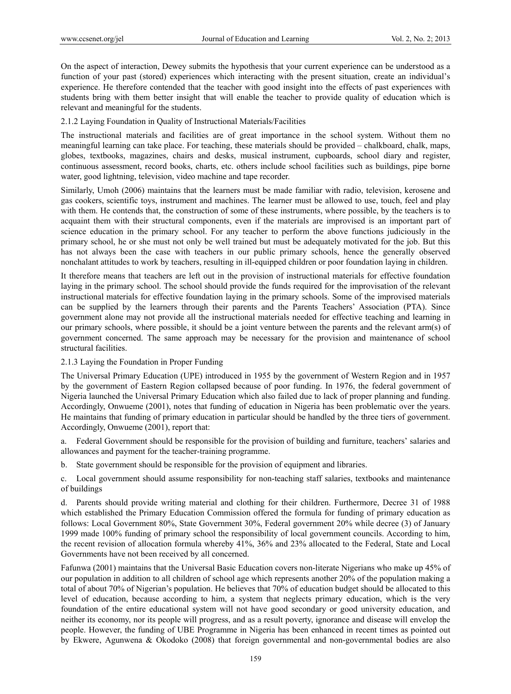On the aspect of interaction, Dewey submits the hypothesis that your current experience can be understood as a function of your past (stored) experiences which interacting with the present situation, create an individual's experience. He therefore contended that the teacher with good insight into the effects of past experiences with students bring with them better insight that will enable the teacher to provide quality of education which is relevant and meaningful for the students.

## 2.1.2 Laying Foundation in Quality of Instructional Materials/Facilities

The instructional materials and facilities are of great importance in the school system. Without them no meaningful learning can take place. For teaching, these materials should be provided – chalkboard, chalk, maps, globes, textbooks, magazines, chairs and desks, musical instrument, cupboards, school diary and register, continuous assessment, record books, charts, etc. others include school facilities such as buildings, pipe borne water, good lightning, television, video machine and tape recorder.

Similarly, Umoh (2006) maintains that the learners must be made familiar with radio, television, kerosene and gas cookers, scientific toys, instrument and machines. The learner must be allowed to use, touch, feel and play with them. He contends that, the construction of some of these instruments, where possible, by the teachers is to acquaint them with their structural components, even if the materials are improvised is an important part of science education in the primary school. For any teacher to perform the above functions judiciously in the primary school, he or she must not only be well trained but must be adequately motivated for the job. But this has not always been the case with teachers in our public primary schools, hence the generally observed nonchalant attitudes to work by teachers, resulting in ill-equipped children or poor foundation laying in children.

It therefore means that teachers are left out in the provision of instructional materials for effective foundation laying in the primary school. The school should provide the funds required for the improvisation of the relevant instructional materials for effective foundation laying in the primary schools. Some of the improvised materials can be supplied by the learners through their parents and the Parents Teachers' Association (PTA). Since government alone may not provide all the instructional materials needed for effective teaching and learning in our primary schools, where possible, it should be a joint venture between the parents and the relevant arm(s) of government concerned. The same approach may be necessary for the provision and maintenance of school structural facilities.

### 2.1.3 Laying the Foundation in Proper Funding

The Universal Primary Education (UPE) introduced in 1955 by the government of Western Region and in 1957 by the government of Eastern Region collapsed because of poor funding. In 1976, the federal government of Nigeria launched the Universal Primary Education which also failed due to lack of proper planning and funding. Accordingly, Onwueme (2001), notes that funding of education in Nigeria has been problematic over the years. He maintains that funding of primary education in particular should be handled by the three tiers of government. Accordingly, Onwueme (2001), report that:

a. Federal Government should be responsible for the provision of building and furniture, teachers' salaries and allowances and payment for the teacher-training programme.

b. State government should be responsible for the provision of equipment and libraries.

c. Local government should assume responsibility for non-teaching staff salaries, textbooks and maintenance of buildings

d. Parents should provide writing material and clothing for their children. Furthermore, Decree 31 of 1988 which established the Primary Education Commission offered the formula for funding of primary education as follows: Local Government 80%, State Government 30%, Federal government 20% while decree (3) of January 1999 made 100% funding of primary school the responsibility of local government councils. According to him, the recent revision of allocation formula whereby 41%, 36% and 23% allocated to the Federal, State and Local Governments have not been received by all concerned.

Fafunwa (2001) maintains that the Universal Basic Education covers non-literate Nigerians who make up 45% of our population in addition to all children of school age which represents another 20% of the population making a total of about 70% of Nigerian's population. He believes that 70% of education budget should be allocated to this level of education, because according to him, a system that neglects primary education, which is the very foundation of the entire educational system will not have good secondary or good university education, and neither its economy, nor its people will progress, and as a result poverty, ignorance and disease will envelop the people. However, the funding of UBE Programme in Nigeria has been enhanced in recent times as pointed out by Ekwere, Agunwena & Okodoko (2008) that foreign governmental and non-governmental bodies are also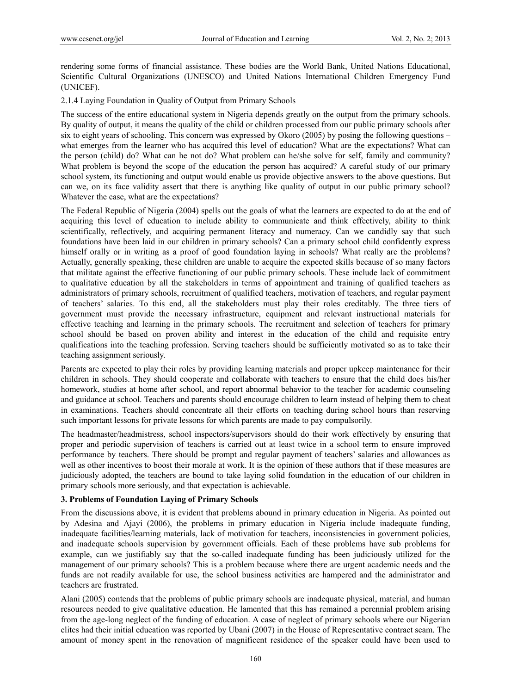rendering some forms of financial assistance. These bodies are the World Bank, United Nations Educational, Scientific Cultural Organizations (UNESCO) and United Nations International Children Emergency Fund (UNICEF).

2.1.4 Laying Foundation in Quality of Output from Primary Schools

The success of the entire educational system in Nigeria depends greatly on the output from the primary schools. By quality of output, it means the quality of the child or children processed from our public primary schools after six to eight years of schooling. This concern was expressed by Okoro (2005) by posing the following questions – what emerges from the learner who has acquired this level of education? What are the expectations? What can the person (child) do? What can he not do? What problem can he/she solve for self, family and community? What problem is beyond the scope of the education the person has acquired? A careful study of our primary school system, its functioning and output would enable us provide objective answers to the above questions. But can we, on its face validity assert that there is anything like quality of output in our public primary school? Whatever the case, what are the expectations?

The Federal Republic of Nigeria (2004) spells out the goals of what the learners are expected to do at the end of acquiring this level of education to include ability to communicate and think effectively, ability to think scientifically, reflectively, and acquiring permanent literacy and numeracy. Can we candidly say that such foundations have been laid in our children in primary schools? Can a primary school child confidently express himself orally or in writing as a proof of good foundation laying in schools? What really are the problems? Actually, generally speaking, these children are unable to acquire the expected skills because of so many factors that militate against the effective functioning of our public primary schools. These include lack of commitment to qualitative education by all the stakeholders in terms of appointment and training of qualified teachers as administrators of primary schools, recruitment of qualified teachers, motivation of teachers, and regular payment of teachers' salaries. To this end, all the stakeholders must play their roles creditably. The three tiers of government must provide the necessary infrastructure, equipment and relevant instructional materials for effective teaching and learning in the primary schools. The recruitment and selection of teachers for primary school should be based on proven ability and interest in the education of the child and requisite entry qualifications into the teaching profession. Serving teachers should be sufficiently motivated so as to take their teaching assignment seriously.

Parents are expected to play their roles by providing learning materials and proper upkeep maintenance for their children in schools. They should cooperate and collaborate with teachers to ensure that the child does his/her homework, studies at home after school, and report abnormal behavior to the teacher for academic counseling and guidance at school. Teachers and parents should encourage children to learn instead of helping them to cheat in examinations. Teachers should concentrate all their efforts on teaching during school hours than reserving such important lessons for private lessons for which parents are made to pay compulsorily.

The headmaster/headmistress, school inspectors/supervisors should do their work effectively by ensuring that proper and periodic supervision of teachers is carried out at least twice in a school term to ensure improved performance by teachers. There should be prompt and regular payment of teachers' salaries and allowances as well as other incentives to boost their morale at work. It is the opinion of these authors that if these measures are judiciously adopted, the teachers are bound to take laying solid foundation in the education of our children in primary schools more seriously, and that expectation is achievable.

### **3. Problems of Foundation Laying of Primary Schools**

From the discussions above, it is evident that problems abound in primary education in Nigeria. As pointed out by Adesina and Ajayi (2006), the problems in primary education in Nigeria include inadequate funding, inadequate facilities/learning materials, lack of motivation for teachers, inconsistencies in government policies, and inadequate schools supervision by government officials. Each of these problems have sub problems for example, can we justifiably say that the so-called inadequate funding has been judiciously utilized for the management of our primary schools? This is a problem because where there are urgent academic needs and the funds are not readily available for use, the school business activities are hampered and the administrator and teachers are frustrated.

Alani (2005) contends that the problems of public primary schools are inadequate physical, material, and human resources needed to give qualitative education. He lamented that this has remained a perennial problem arising from the age-long neglect of the funding of education. A case of neglect of primary schools where our Nigerian elites had their initial education was reported by Ubani (2007) in the House of Representative contract scam. The amount of money spent in the renovation of magnificent residence of the speaker could have been used to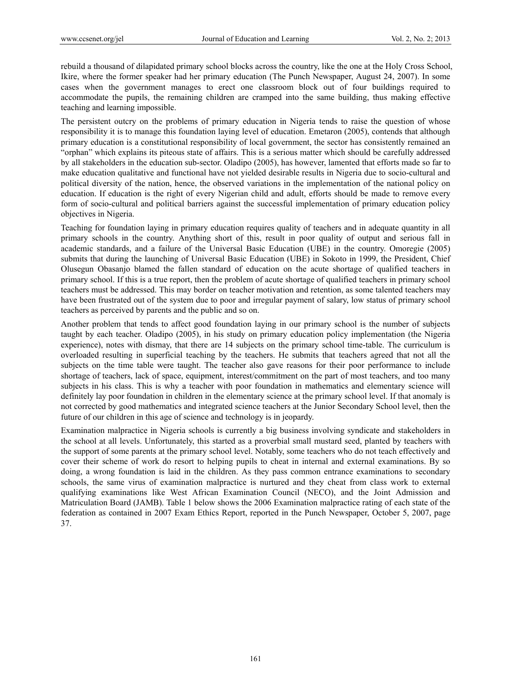rebuild a thousand of dilapidated primary school blocks across the country, like the one at the Holy Cross School, Ikire, where the former speaker had her primary education (The Punch Newspaper, August 24, 2007). In some cases when the government manages to erect one classroom block out of four buildings required to accommodate the pupils, the remaining children are cramped into the same building, thus making effective teaching and learning impossible.

The persistent outcry on the problems of primary education in Nigeria tends to raise the question of whose responsibility it is to manage this foundation laying level of education. Emetaron (2005), contends that although primary education is a constitutional responsibility of local government, the sector has consistently remained an "orphan" which explains its piteous state of affairs. This is a serious matter which should be carefully addressed by all stakeholders in the education sub-sector. Oladipo (2005), has however, lamented that efforts made so far to make education qualitative and functional have not yielded desirable results in Nigeria due to socio-cultural and political diversity of the nation, hence, the observed variations in the implementation of the national policy on education. If education is the right of every Nigerian child and adult, efforts should be made to remove every form of socio-cultural and political barriers against the successful implementation of primary education policy objectives in Nigeria.

Teaching for foundation laying in primary education requires quality of teachers and in adequate quantity in all primary schools in the country. Anything short of this, result in poor quality of output and serious fall in academic standards, and a failure of the Universal Basic Education (UBE) in the country. Omoregie (2005) submits that during the launching of Universal Basic Education (UBE) in Sokoto in 1999, the President, Chief Olusegun Obasanjo blamed the fallen standard of education on the acute shortage of qualified teachers in primary school. If this is a true report, then the problem of acute shortage of qualified teachers in primary school teachers must be addressed. This may border on teacher motivation and retention, as some talented teachers may have been frustrated out of the system due to poor and irregular payment of salary, low status of primary school teachers as perceived by parents and the public and so on.

Another problem that tends to affect good foundation laying in our primary school is the number of subjects taught by each teacher. Oladipo (2005), in his study on primary education policy implementation (the Nigeria experience), notes with dismay, that there are 14 subjects on the primary school time-table. The curriculum is overloaded resulting in superficial teaching by the teachers. He submits that teachers agreed that not all the subjects on the time table were taught. The teacher also gave reasons for their poor performance to include shortage of teachers, lack of space, equipment, interest/commitment on the part of most teachers, and too many subjects in his class. This is why a teacher with poor foundation in mathematics and elementary science will definitely lay poor foundation in children in the elementary science at the primary school level. If that anomaly is not corrected by good mathematics and integrated science teachers at the Junior Secondary School level, then the future of our children in this age of science and technology is in jeopardy.

Examination malpractice in Nigeria schools is currently a big business involving syndicate and stakeholders in the school at all levels. Unfortunately, this started as a proverbial small mustard seed, planted by teachers with the support of some parents at the primary school level. Notably, some teachers who do not teach effectively and cover their scheme of work do resort to helping pupils to cheat in internal and external examinations. By so doing, a wrong foundation is laid in the children. As they pass common entrance examinations to secondary schools, the same virus of examination malpractice is nurtured and they cheat from class work to external qualifying examinations like West African Examination Council (NECO), and the Joint Admission and Matriculation Board (JAMB). Table 1 below shows the 2006 Examination malpractice rating of each state of the federation as contained in 2007 Exam Ethics Report, reported in the Punch Newspaper, October 5, 2007, page 37.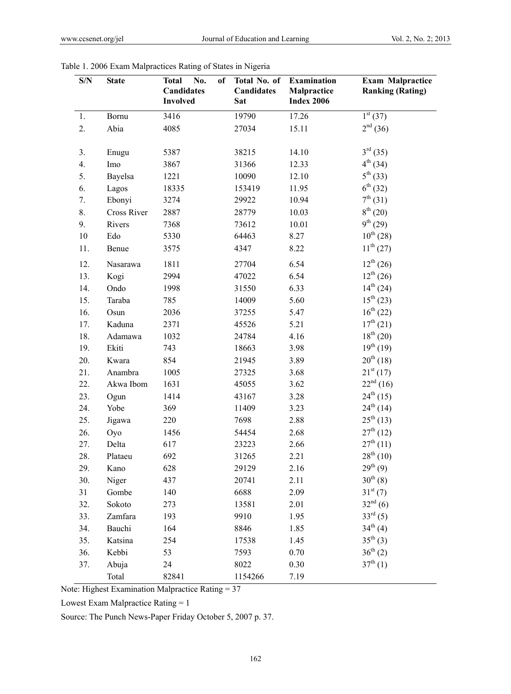| S/N    | <b>State</b> | No.<br>of<br><b>Total</b><br>Candidates | Total No. of<br>Candidates | <b>Examination</b><br>Malpractice | <b>Exam Malpractice</b><br><b>Ranking (Rating)</b> |
|--------|--------------|-----------------------------------------|----------------------------|-----------------------------------|----------------------------------------------------|
|        |              | Involved                                | Sat                        | <b>Index 2006</b>                 |                                                    |
| 1.     | Bornu        | 3416                                    | 19790                      | 17.26                             | $\overline{1}^{\rm st}$ (37)                       |
| 2.     | Abia         | 4085                                    | 27034                      | 15.11                             | $2^{nd}$ (36)                                      |
|        |              |                                         |                            |                                   |                                                    |
| 3.     | Enugu        | 5387                                    | 38215                      | 14.10                             | $3^{rd}$ (35)                                      |
| 4.     | Imo          | 3867                                    | 31366                      | 12.33                             | $4^{th}$ (34)                                      |
| 5.     | Bayelsa      | 1221                                    | 10090                      | 12.10                             | $5^{th}(33)$                                       |
| 6.     | Lagos        | 18335                                   | 153419                     | 11.95                             | $6^{th}(32)$                                       |
| 7.     | Ebonyi       | 3274                                    | 29922                      | 10.94                             | $7^{th}(31)$                                       |
| 8.     | Cross River  | 2887                                    | 28779                      | 10.03                             | $8^{th}$ (20)                                      |
| 9.     | Rivers       | 7368                                    | 73612                      | 10.01                             | $9^{th}$ (29)                                      |
| $10\,$ | Edo          | 5330                                    | 64463                      | 8.27                              | $10^{th}$ (28)                                     |
| 11.    | Benue        | 3575                                    | 4347                       | 8.22                              | $11^{th} (27)$                                     |
| 12.    | Nasarawa     | 1811                                    | 27704                      | 6.54                              | $12^{th}$ (26)                                     |
| 13.    | Kogi         | 2994                                    | 47022                      | 6.54                              | $12^{th}$ (26)                                     |
| 14.    | Ondo         | 1998                                    | 31550                      | 6.33                              | $14^{th}$ (24)                                     |
| 15.    | Taraba       | 785                                     | 14009                      | 5.60                              | $15^{th}(23)$                                      |
| 16.    | Osun         | 2036                                    | 37255                      | 5.47                              | $16^{th} (22)$                                     |
| 17.    | Kaduna       | 2371                                    | 45526                      | 5.21                              | $17^{\text{th}} (21)$                              |
| 18.    | Adamawa      | 1032                                    | 24784                      | 4.16                              | $18^{th} (20)$                                     |
| 19.    | Ekiti        | 743                                     | 18663                      | 3.98                              | $19^{th}(19)$                                      |
| 20.    | Kwara        | 854                                     | 21945                      | 3.89                              | $20^{th}$ (18)                                     |
| 21.    | Anambra      | 1005                                    | 27325                      | 3.68                              | $21^{st}(17)$                                      |
| 22.    | Akwa Ibom    | 1631                                    | 45055                      | 3.62                              | $22nd$ (16)                                        |
| 23.    | Ogun         | 1414                                    | 43167                      | 3.28                              | $24^{th}(15)$                                      |
| 24.    | Yobe         | 369                                     | 11409                      | 3.23                              | $24^{th}$ (14)                                     |
| 25.    | Jigawa       | 220                                     | 7698                       | 2.88                              | $25^{th}(13)$                                      |
| 26.    | Oyo          | 1456                                    | 54454                      | 2.68                              | $27^{\text{th}}$ (12)                              |
| 27.    | Delta        | 617                                     | 23223                      | 2.66                              | $27^{\text{th}}(11)$                               |
| 28.    | Plataeu      | 692                                     | 31265                      | 2.21                              | $28^{th}(10)$                                      |
| 29.    | Kano         | 628                                     | 29129                      | 2.16                              | $29^{th}(9)$                                       |
| 30.    | Niger        | 437                                     | 20741                      | 2.11                              | $30^{th}$ (8)                                      |
| 31     | Gombe        | 140                                     | 6688                       | 2.09                              | $31^{\rm st}(7)$                                   |
| 32.    | Sokoto       | 273                                     | 13581                      | 2.01                              | 32 <sup>nd</sup> (6)                               |
| 33.    | Zamfara      | 193                                     | 9910                       | 1.95                              | $33^{rd}(5)$                                       |
| 34.    | Bauchi       | 164                                     | 8846                       | 1.85                              | $34^{th}(4)$                                       |
| 35.    | Katsina      | 254                                     | 17538                      | 1.45                              | $35^{th}(3)$                                       |
| 36.    | Kebbi        | 53                                      | 7593                       | 0.70                              | $36^{th}(2)$                                       |
| 37.    | Abuja        | 24                                      | 8022                       | 0.30                              | $37^{\text{th}}(1)$                                |
|        | Total        | 82841                                   | 1154266                    | 7.19                              |                                                    |

Table 1. 2006 Exam Malpractices Rating of States in Nigeria

Note: Highest Examination Malpractice Rating = 37

Lowest Exam Malpractice Rating = 1

Source: The Punch News-Paper Friday October 5, 2007 p. 37.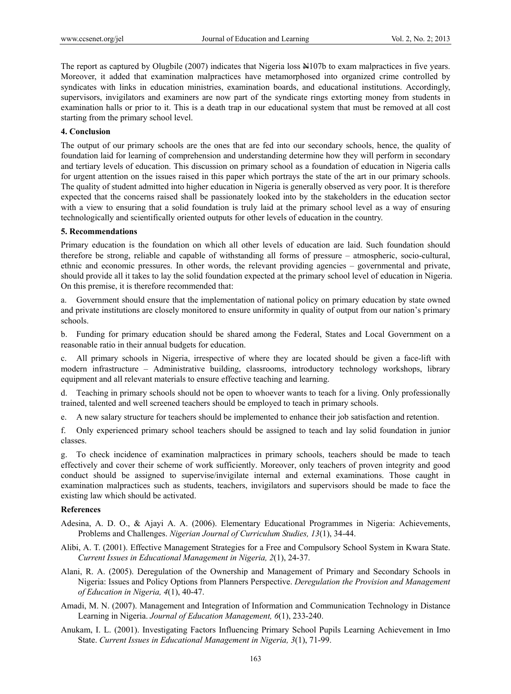The report as captured by Olugbile (2007) indicates that Nigeria loss N107b to exam malpractices in five years. Moreover, it added that examination malpractices have metamorphosed into organized crime controlled by syndicates with links in education ministries, examination boards, and educational institutions. Accordingly, supervisors, invigilators and examiners are now part of the syndicate rings extorting money from students in examination halls or prior to it. This is a death trap in our educational system that must be removed at all cost starting from the primary school level.

# **4. Conclusion**

The output of our primary schools are the ones that are fed into our secondary schools, hence, the quality of foundation laid for learning of comprehension and understanding determine how they will perform in secondary and tertiary levels of education. This discussion on primary school as a foundation of education in Nigeria calls for urgent attention on the issues raised in this paper which portrays the state of the art in our primary schools. The quality of student admitted into higher education in Nigeria is generally observed as very poor. It is therefore expected that the concerns raised shall be passionately looked into by the stakeholders in the education sector with a view to ensuring that a solid foundation is truly laid at the primary school level as a way of ensuring technologically and scientifically oriented outputs for other levels of education in the country.

## **5. Recommendations**

Primary education is the foundation on which all other levels of education are laid. Such foundation should therefore be strong, reliable and capable of withstanding all forms of pressure – atmospheric, socio-cultural, ethnic and economic pressures. In other words, the relevant providing agencies – governmental and private, should provide all it takes to lay the solid foundation expected at the primary school level of education in Nigeria. On this premise, it is therefore recommended that:

Government should ensure that the implementation of national policy on primary education by state owned and private institutions are closely monitored to ensure uniformity in quality of output from our nation's primary schools.

b. Funding for primary education should be shared among the Federal, States and Local Government on a reasonable ratio in their annual budgets for education.

c. All primary schools in Nigeria, irrespective of where they are located should be given a face-lift with modern infrastructure – Administrative building, classrooms, introductory technology workshops, library equipment and all relevant materials to ensure effective teaching and learning.

d. Teaching in primary schools should not be open to whoever wants to teach for a living. Only professionally trained, talented and well screened teachers should be employed to teach in primary schools.

e. A new salary structure for teachers should be implemented to enhance their job satisfaction and retention.

f. Only experienced primary school teachers should be assigned to teach and lay solid foundation in junior classes.

g. To check incidence of examination malpractices in primary schools, teachers should be made to teach effectively and cover their scheme of work sufficiently. Moreover, only teachers of proven integrity and good conduct should be assigned to supervise/invigilate internal and external examinations. Those caught in examination malpractices such as students, teachers, invigilators and supervisors should be made to face the existing law which should be activated.

#### **References**

Adesina, A. D. O., & Ajayi A. A. (2006). Elementary Educational Programmes in Nigeria: Achievements, Problems and Challenges. *Nigerian Journal of Curriculum Studies, 13*(1), 34-44.

- Alibi, A. T. (2001). Effective Management Strategies for a Free and Compulsory School System in Kwara State. *Current Issues in Educational Management in Nigeria, 2*(1), 24-37.
- Alani, R. A. (2005). Deregulation of the Ownership and Management of Primary and Secondary Schools in Nigeria: Issues and Policy Options from Planners Perspective. *Deregulation the Provision and Management of Education in Nigeria, 4*(1), 40-47.
- Amadi, M. N. (2007). Management and Integration of Information and Communication Technology in Distance Learning in Nigeria. *Journal of Education Management, 6*(1), 233-240.
- Anukam, I. L. (2001). Investigating Factors Influencing Primary School Pupils Learning Achievement in Imo State. *Current Issues in Educational Management in Nigeria, 3*(1), 71-99.